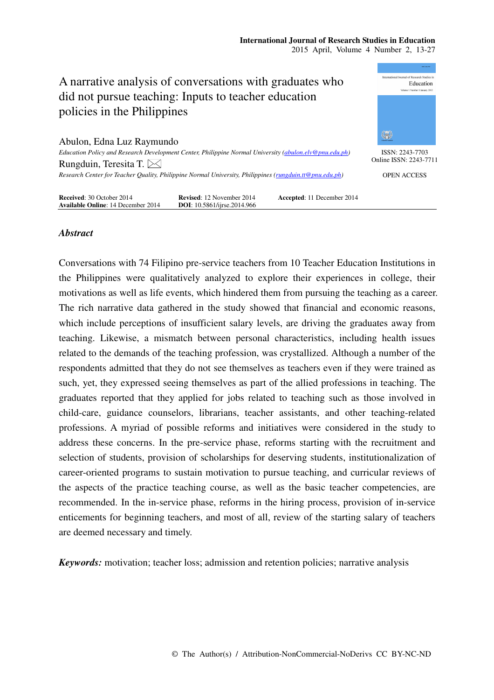

# *Abstract*

Conversations with 74 Filipino pre-service teachers from 10 Teacher Education Institutions in the Philippines were qualitatively analyzed to explore their experiences in college, their motivations as well as life events, which hindered them from pursuing the teaching as a career. The rich narrative data gathered in the study showed that financial and economic reasons, which include perceptions of insufficient salary levels, are driving the graduates away from teaching. Likewise, a mismatch between personal characteristics, including health issues related to the demands of the teaching profession, was crystallized. Although a number of the respondents admitted that they do not see themselves as teachers even if they were trained as such, yet, they expressed seeing themselves as part of the allied professions in teaching. The graduates reported that they applied for jobs related to teaching such as those involved in child-care, guidance counselors, librarians, teacher assistants, and other teaching-related professions. A myriad of possible reforms and initiatives were considered in the study to address these concerns. In the pre-service phase, reforms starting with the recruitment and selection of students, provision of scholarships for deserving students, institutionalization of career-oriented programs to sustain motivation to pursue teaching, and curricular reviews of the aspects of the practice teaching course, as well as the basic teacher competencies, are recommended. In the in-service phase, reforms in the hiring process, provision of in-service enticements for beginning teachers, and most of all, review of the starting salary of teachers are deemed necessary and timely.

*Keywords:* motivation; teacher loss; admission and retention policies; narrative analysis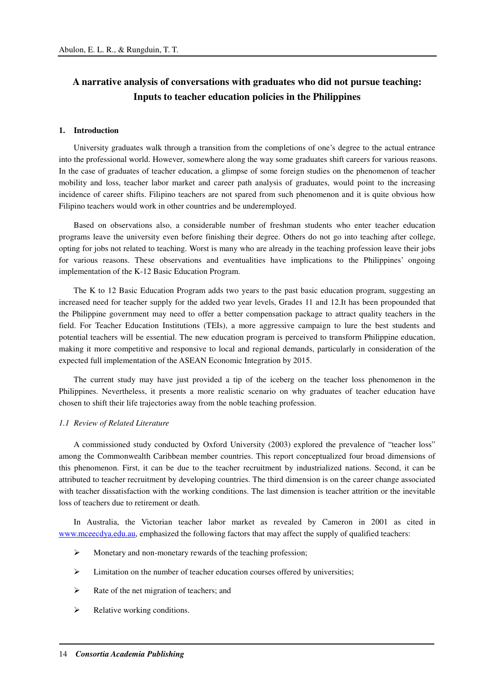# **A narrative analysis of conversations with graduates who did not pursue teaching: Inputs to teacher education policies in the Philippines**

### **1. Introduction**

University graduates walk through a transition from the completions of one's degree to the actual entrance into the professional world. However, somewhere along the way some graduates shift careers for various reasons. In the case of graduates of teacher education, a glimpse of some foreign studies on the phenomenon of teacher mobility and loss, teacher labor market and career path analysis of graduates, would point to the increasing incidence of career shifts. Filipino teachers are not spared from such phenomenon and it is quite obvious how Filipino teachers would work in other countries and be underemployed.

Based on observations also, a considerable number of freshman students who enter teacher education programs leave the university even before finishing their degree. Others do not go into teaching after college, opting for jobs not related to teaching. Worst is many who are already in the teaching profession leave their jobs for various reasons. These observations and eventualities have implications to the Philippines' ongoing implementation of the K-12 Basic Education Program.

The K to 12 Basic Education Program adds two years to the past basic education program, suggesting an increased need for teacher supply for the added two year levels, Grades 11 and 12.It has been propounded that the Philippine government may need to offer a better compensation package to attract quality teachers in the field. For Teacher Education Institutions (TEIs), a more aggressive campaign to lure the best students and potential teachers will be essential. The new education program is perceived to transform Philippine education, making it more competitive and responsive to local and regional demands, particularly in consideration of the expected full implementation of the ASEAN Economic Integration by 2015.

The current study may have just provided a tip of the iceberg on the teacher loss phenomenon in the Philippines. Nevertheless, it presents a more realistic scenario on why graduates of teacher education have chosen to shift their life trajectories away from the noble teaching profession.

### *1.1 Review of Related Literature*

A commissioned study conducted by Oxford University (2003) explored the prevalence of "teacher loss" among the Commonwealth Caribbean member countries. This report conceptualized four broad dimensions of this phenomenon. First, it can be due to the teacher recruitment by industrialized nations. Second, it can be attributed to teacher recruitment by developing countries. The third dimension is on the career change associated with teacher dissatisfaction with the working conditions. The last dimension is teacher attrition or the inevitable loss of teachers due to retirement or death.

In Australia, the Victorian teacher labor market as revealed by Cameron in 2001 as cited in www.mceecdya.edu.au, emphasized the following factors that may affect the supply of qualified teachers:

- $\triangleright$  Monetary and non-monetary rewards of the teaching profession;
- $\triangleright$  Limitation on the number of teacher education courses offered by universities;
- $\triangleright$  Rate of the net migration of teachers; and
- $\triangleright$  Relative working conditions.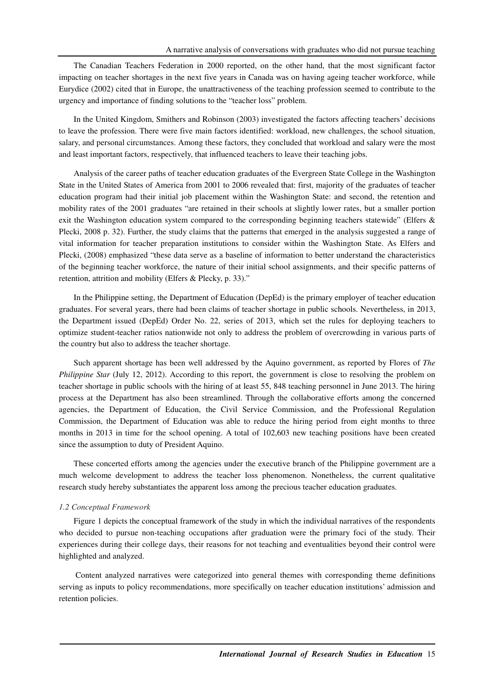The Canadian Teachers Federation in 2000 reported, on the other hand, that the most significant factor impacting on teacher shortages in the next five years in Canada was on having ageing teacher workforce, while Eurydice (2002) cited that in Europe, the unattractiveness of the teaching profession seemed to contribute to the urgency and importance of finding solutions to the "teacher loss" problem.

In the United Kingdom, Smithers and Robinson (2003) investigated the factors affecting teachers' decisions to leave the profession. There were five main factors identified: workload, new challenges, the school situation, salary, and personal circumstances. Among these factors, they concluded that workload and salary were the most and least important factors, respectively, that influenced teachers to leave their teaching jobs.

Analysis of the career paths of teacher education graduates of the Evergreen State College in the Washington State in the United States of America from 2001 to 2006 revealed that: first, majority of the graduates of teacher education program had their initial job placement within the Washington State: and second, the retention and mobility rates of the 2001 graduates "are retained in their schools at slightly lower rates, but a smaller portion exit the Washington education system compared to the corresponding beginning teachers statewide" (Elfers & Plecki, 2008 p. 32). Further, the study claims that the patterns that emerged in the analysis suggested a range of vital information for teacher preparation institutions to consider within the Washington State. As Elfers and Plecki, (2008) emphasized "these data serve as a baseline of information to better understand the characteristics of the beginning teacher workforce, the nature of their initial school assignments, and their specific patterns of retention, attrition and mobility (Elfers & Plecky, p. 33)."

In the Philippine setting, the Department of Education (DepEd) is the primary employer of teacher education graduates. For several years, there had been claims of teacher shortage in public schools. Nevertheless, in 2013, the Department issued (DepEd) Order No. 22, series of 2013, which set the rules for deploying teachers to optimize student-teacher ratios nationwide not only to address the problem of overcrowding in various parts of the country but also to address the teacher shortage.

Such apparent shortage has been well addressed by the Aquino government, as reported by Flores of *The Philippine Star* (July 12, 2012). According to this report, the government is close to resolving the problem on teacher shortage in public schools with the hiring of at least 55, 848 teaching personnel in June 2013. The hiring process at the Department has also been streamlined. Through the collaborative efforts among the concerned agencies, the Department of Education, the Civil Service Commission, and the Professional Regulation Commission, the Department of Education was able to reduce the hiring period from eight months to three months in 2013 in time for the school opening. A total of 102,603 new teaching positions have been created since the assumption to duty of President Aquino.

These concerted efforts among the agencies under the executive branch of the Philippine government are a much welcome development to address the teacher loss phenomenon. Nonetheless, the current qualitative research study hereby substantiates the apparent loss among the precious teacher education graduates.

## *1.2 Conceptual Framework*

Figure 1 depicts the conceptual framework of the study in which the individual narratives of the respondents who decided to pursue non-teaching occupations after graduation were the primary foci of the study. Their experiences during their college days, their reasons for not teaching and eventualities beyond their control were highlighted and analyzed.

Content analyzed narratives were categorized into general themes with corresponding theme definitions serving as inputs to policy recommendations, more specifically on teacher education institutions' admission and retention policies.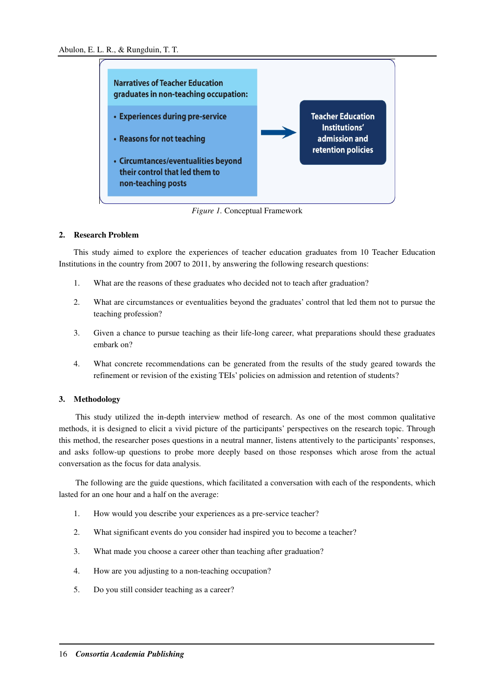

*Figure 1.* Conceptual Framework

# **2. Research Problem**

This study aimed to explore the experiences of teacher education graduates from 10 Teacher Education Institutions in the country from 2007 to 2011, by answering the following research questions:

- 1. What are the reasons of these graduates who decided not to teach after graduation?
- 2. What are circumstances or eventualities beyond the graduates' control that led them not to pursue the teaching profession?
- 3. Given a chance to pursue teaching as their life-long career, what preparations should these graduates embark on?
- 4. What concrete recommendations can be generated from the results of the study geared towards the refinement or revision of the existing TEIs' policies on admission and retention of students?

# **3. Methodology**

This study utilized the in-depth interview method of research. As one of the most common qualitative methods, it is designed to elicit a vivid picture of the participants' perspectives on the research topic. Through this method, the researcher poses questions in a neutral manner, listens attentively to the participants' responses, and asks follow-up questions to probe more deeply based on those responses which arose from the actual conversation as the focus for data analysis.

The following are the guide questions, which facilitated a conversation with each of the respondents, which lasted for an one hour and a half on the average:

- 1. How would you describe your experiences as a pre-service teacher?
- 2. What significant events do you consider had inspired you to become a teacher?
- 3. What made you choose a career other than teaching after graduation?
- 4. How are you adjusting to a non-teaching occupation?
- 5. Do you still consider teaching as a career?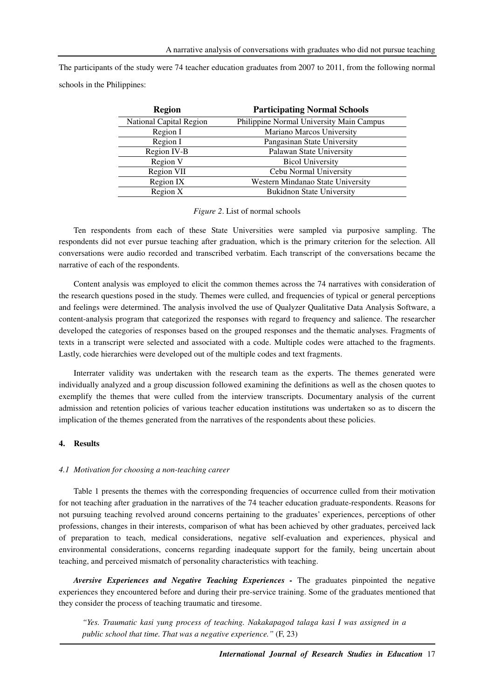The participants of the study were 74 teacher education graduates from 2007 to 2011, from the following normal schools in the Philippines:

| <b>Region</b>                  | <b>Participating Normal Schools</b>      |
|--------------------------------|------------------------------------------|
| <b>National Capital Region</b> | Philippine Normal University Main Campus |
| Region I                       | Mariano Marcos University                |
| Region I                       | Pangasinan State University              |
| Region IV-B                    | Palawan State University                 |
| Region V                       | <b>Bicol University</b>                  |
| Region VII                     | Cebu Normal University                   |
| Region IX                      | Western Mindanao State University        |
| Region X                       | <b>Bukidnon State University</b>         |

*Figure 2*. List of normal schools

Ten respondents from each of these State Universities were sampled via purposive sampling. The respondents did not ever pursue teaching after graduation, which is the primary criterion for the selection. All conversations were audio recorded and transcribed verbatim. Each transcript of the conversations became the narrative of each of the respondents.

Content analysis was employed to elicit the common themes across the 74 narratives with consideration of the research questions posed in the study. Themes were culled, and frequencies of typical or general perceptions and feelings were determined. The analysis involved the use of Qualyzer Qualitative Data Analysis Software, a content-analysis program that categorized the responses with regard to frequency and salience. The researcher developed the categories of responses based on the grouped responses and the thematic analyses. Fragments of texts in a transcript were selected and associated with a code. Multiple codes were attached to the fragments. Lastly, code hierarchies were developed out of the multiple codes and text fragments.

Interrater validity was undertaken with the research team as the experts. The themes generated were individually analyzed and a group discussion followed examining the definitions as well as the chosen quotes to exemplify the themes that were culled from the interview transcripts. Documentary analysis of the current admission and retention policies of various teacher education institutions was undertaken so as to discern the implication of the themes generated from the narratives of the respondents about these policies.

# **4. Results**

#### *4.1 Motivation for choosing a non-teaching career*

Table 1 presents the themes with the corresponding frequencies of occurrence culled from their motivation for not teaching after graduation in the narratives of the 74 teacher education graduate-respondents. Reasons for not pursuing teaching revolved around concerns pertaining to the graduates' experiences, perceptions of other professions, changes in their interests, comparison of what has been achieved by other graduates, perceived lack of preparation to teach, medical considerations, negative self-evaluation and experiences, physical and environmental considerations, concerns regarding inadequate support for the family, being uncertain about teaching, and perceived mismatch of personality characteristics with teaching.

*Aversive Experiences and Negative Teaching Experiences -* The graduates pinpointed the negative experiences they encountered before and during their pre-service training. Some of the graduates mentioned that they consider the process of teaching traumatic and tiresome.

*"Yes. Traumatic kasi yung process of teaching. Nakakapagod talaga kasi I was assigned in a public school that time. That was a negative experience."* (F, 23)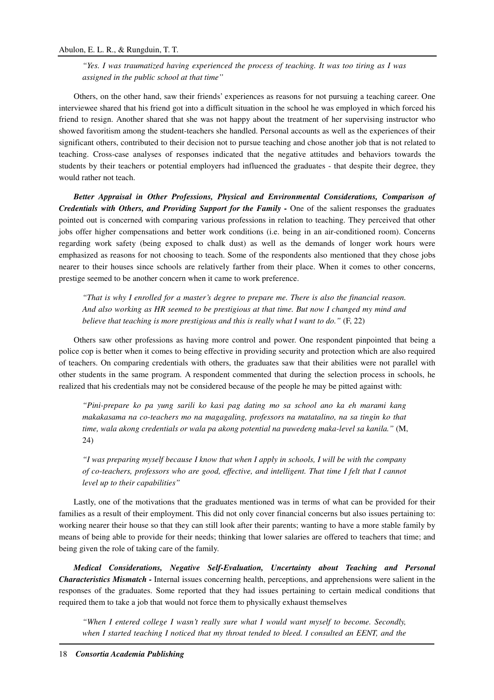*"Yes. I was traumatized having experienced the process of teaching. It was too tiring as I was assigned in the public school at that time''* 

Others, on the other hand, saw their friends' experiences as reasons for not pursuing a teaching career. One interviewee shared that his friend got into a difficult situation in the school he was employed in which forced his friend to resign. Another shared that she was not happy about the treatment of her supervising instructor who showed favoritism among the student-teachers she handled. Personal accounts as well as the experiences of their significant others, contributed to their decision not to pursue teaching and chose another job that is not related to teaching. Cross-case analyses of responses indicated that the negative attitudes and behaviors towards the students by their teachers or potential employers had influenced the graduates - that despite their degree, they would rather not teach.

*Better Appraisal in Other Professions, Physical and Environmental Considerations, Comparison of Credentials with Others, and Providing Support for the Family -* One of the salient responses the graduates pointed out is concerned with comparing various professions in relation to teaching. They perceived that other jobs offer higher compensations and better work conditions (i.e. being in an air-conditioned room). Concerns regarding work safety (being exposed to chalk dust) as well as the demands of longer work hours were emphasized as reasons for not choosing to teach. Some of the respondents also mentioned that they chose jobs nearer to their houses since schools are relatively farther from their place. When it comes to other concerns, prestige seemed to be another concern when it came to work preference.

*"That is why I enrolled for a master's degree to prepare me. There is also the financial reason. And also working as HR seemed to be prestigious at that time. But now I changed my mind and believe that teaching is more prestigious and this is really what I want to do."* (F, 22)

Others saw other professions as having more control and power. One respondent pinpointed that being a police cop is better when it comes to being effective in providing security and protection which are also required of teachers. On comparing credentials with others, the graduates saw that their abilities were not parallel with other students in the same program. A respondent commented that during the selection process in schools, he realized that his credentials may not be considered because of the people he may be pitted against with:

*"Pini-prepare ko pa yung sarili ko kasi pag dating mo sa school ano ka eh marami kang makakasama na co-teachers mo na magagaling, professors na matatalino, na sa tingin ko that time, wala akong credentials or wala pa akong potential na puwedeng maka-level sa kanila."* (M, 24)

*"I was preparing myself because I know that when I apply in schools, I will be with the company of co-teachers, professors who are good, effective, and intelligent. That time I felt that I cannot level up to their capabilities"* 

Lastly, one of the motivations that the graduates mentioned was in terms of what can be provided for their families as a result of their employment. This did not only cover financial concerns but also issues pertaining to: working nearer their house so that they can still look after their parents; wanting to have a more stable family by means of being able to provide for their needs; thinking that lower salaries are offered to teachers that time; and being given the role of taking care of the family.

*Medical Considerations, Negative Self-Evaluation, Uncertainty about Teaching and Personal Characteristics Mismatch -* Internal issues concerning health, perceptions, and apprehensions were salient in the responses of the graduates. Some reported that they had issues pertaining to certain medical conditions that required them to take a job that would not force them to physically exhaust themselves

*"When I entered college I wasn't really sure what I would want myself to become. Secondly, when I started teaching I noticed that my throat tended to bleed. I consulted an EENT, and the*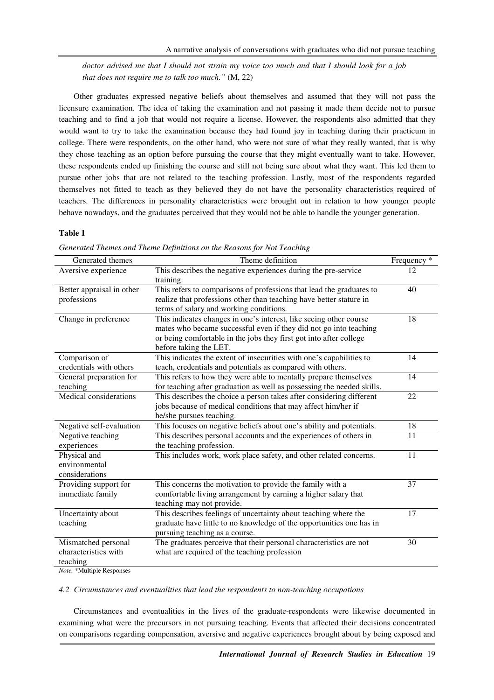*doctor advised me that I should not strain my voice too much and that I should look for a job that does not require me to talk too much."* (M, 22)

Other graduates expressed negative beliefs about themselves and assumed that they will not pass the licensure examination. The idea of taking the examination and not passing it made them decide not to pursue teaching and to find a job that would not require a license. However, the respondents also admitted that they would want to try to take the examination because they had found joy in teaching during their practicum in college. There were respondents, on the other hand, who were not sure of what they really wanted, that is why they chose teaching as an option before pursuing the course that they might eventually want to take. However, these respondents ended up finishing the course and still not being sure about what they want. This led them to pursue other jobs that are not related to the teaching profession. Lastly, most of the respondents regarded themselves not fitted to teach as they believed they do not have the personality characteristics required of teachers. The differences in personality characteristics were brought out in relation to how younger people behave nowadays, and the graduates perceived that they would not be able to handle the younger generation.

## **Table 1**

| Generated themes          | Theme definition                                                       | Frequency * |
|---------------------------|------------------------------------------------------------------------|-------------|
| Aversive experience       | This describes the negative experiences during the pre-service         | 12          |
|                           | training.                                                              |             |
| Better appraisal in other | This refers to comparisons of professions that lead the graduates to   | 40          |
| professions               | realize that professions other than teaching have better stature in    |             |
|                           | terms of salary and working conditions.                                |             |
| Change in preference      | This indicates changes in one's interest, like seeing other course     | 18          |
|                           | mates who became successful even if they did not go into teaching      |             |
|                           | or being comfortable in the jobs they first got into after college     |             |
|                           | before taking the LET.                                                 |             |
| Comparison of             | This indicates the extent of insecurities with one's capabilities to   | 14          |
| credentials with others   | teach, credentials and potentials as compared with others.             |             |
| General preparation for   | This refers to how they were able to mentally prepare themselves       | 14          |
| teaching                  | for teaching after graduation as well as possessing the needed skills. |             |
| Medical considerations    | This describes the choice a person takes after considering different   | 22          |
|                           | jobs because of medical conditions that may affect him/her if          |             |
|                           | he/she pursues teaching.                                               |             |
| Negative self-evaluation  | This focuses on negative beliefs about one's ability and potentials.   | 18          |
| Negative teaching         | This describes personal accounts and the experiences of others in      | 11          |
| experiences               | the teaching profession.                                               |             |
| Physical and              | This includes work, work place safety, and other related concerns.     | 11          |
| environmental             |                                                                        |             |
| considerations            |                                                                        |             |
| Providing support for     | This concerns the motivation to provide the family with a              | 37          |
| immediate family          | comfortable living arrangement by earning a higher salary that         |             |
|                           | teaching may not provide.                                              |             |
| Uncertainty about         | This describes feelings of uncertainty about teaching where the        | 17          |
| teaching                  | graduate have little to no knowledge of the opportunities one has in   |             |
|                           | pursuing teaching as a course.                                         |             |
| Mismatched personal       | The graduates perceive that their personal characteristics are not     | 30          |
| characteristics with      | what are required of the teaching profession                           |             |
| teaching                  |                                                                        |             |

*Generated Themes and Theme Definitions on the Reasons for Not Teaching* 

*Note.* \*Multiple Responses

#### *4.2 Circumstances and eventualities that lead the respondents to non-teaching occupations*

Circumstances and eventualities in the lives of the graduate-respondents were likewise documented in examining what were the precursors in not pursuing teaching. Events that affected their decisions concentrated on comparisons regarding compensation, aversive and negative experiences brought about by being exposed and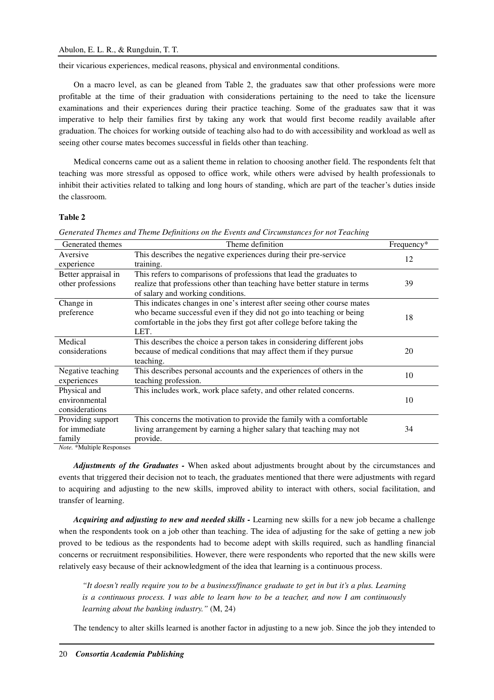their vicarious experiences, medical reasons, physical and environmental conditions.

On a macro level, as can be gleaned from Table 2, the graduates saw that other professions were more profitable at the time of their graduation with considerations pertaining to the need to take the licensure examinations and their experiences during their practice teaching. Some of the graduates saw that it was imperative to help their families first by taking any work that would first become readily available after graduation. The choices for working outside of teaching also had to do with accessibility and workload as well as seeing other course mates becomes successful in fields other than teaching.

Medical concerns came out as a salient theme in relation to choosing another field. The respondents felt that teaching was more stressful as opposed to office work, while others were advised by health professionals to inhibit their activities related to talking and long hours of standing, which are part of the teacher's duties inside the classroom.

### **Table 2**

| Generated themes                                                                          | Theme definition                                                          | Frequency* |
|-------------------------------------------------------------------------------------------|---------------------------------------------------------------------------|------------|
| Aversive                                                                                  | This describes the negative experiences during their pre-service          | 12         |
| experience                                                                                | training.                                                                 |            |
| Better appraisal in                                                                       | This refers to comparisons of professions that lead the graduates to      |            |
| other professions                                                                         | realize that professions other than teaching have better stature in terms | 39         |
|                                                                                           | of salary and working conditions.                                         |            |
| Change in                                                                                 | This indicates changes in one's interest after seeing other course mates  |            |
| preference                                                                                | who became successful even if they did not go into teaching or being      | 18         |
|                                                                                           | comfortable in the jobs they first got after college before taking the    |            |
|                                                                                           | LET.                                                                      |            |
| Medical                                                                                   | This describes the choice a person takes in considering different jobs    |            |
| considerations                                                                            | because of medical conditions that may affect them if they pursue         | 20         |
|                                                                                           | teaching.                                                                 |            |
| Negative teaching                                                                         | This describes personal accounts and the experiences of others in the     | 10         |
| experiences                                                                               | teaching profession.                                                      |            |
| Physical and                                                                              | This includes work, work place safety, and other related concerns.        |            |
| environmental                                                                             |                                                                           | 10         |
| considerations                                                                            |                                                                           |            |
| Providing support                                                                         | This concerns the motivation to provide the family with a comfortable     |            |
| for immediate                                                                             | living arrangement by earning a higher salary that teaching may not       | 34         |
| family                                                                                    | provide.                                                                  |            |
| $\mathbf{a} \cdot \mathbf{b} = \mathbf{a} \cdot \mathbf{b} + \mathbf{b} \cdot \mathbf{c}$ |                                                                           |            |

| Generated Themes and Theme Definitions on the Events and Circumstances for not Teaching |  |
|-----------------------------------------------------------------------------------------|--|
|                                                                                         |  |

*Note.* \*Multiple Responses

*Adjustments of the Graduates -* When asked about adjustments brought about by the circumstances and events that triggered their decision not to teach, the graduates mentioned that there were adjustments with regard to acquiring and adjusting to the new skills, improved ability to interact with others, social facilitation, and transfer of learning.

*Acquiring and adjusting to new and needed skills -* Learning new skills for a new job became a challenge when the respondents took on a job other than teaching. The idea of adjusting for the sake of getting a new job proved to be tedious as the respondents had to become adept with skills required, such as handling financial concerns or recruitment responsibilities. However, there were respondents who reported that the new skills were relatively easy because of their acknowledgment of the idea that learning is a continuous process.

*"It doesn't really require you to be a business/finance graduate to get in but it's a plus. Learning is a continuous process. I was able to learn how to be a teacher, and now I am continuously learning about the banking industry."* (M, 24)

The tendency to alter skills learned is another factor in adjusting to a new job. Since the job they intended to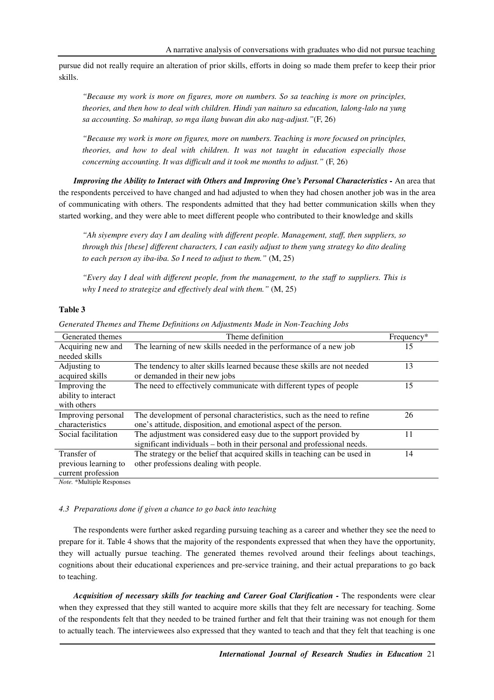pursue did not really require an alteration of prior skills, efforts in doing so made them prefer to keep their prior skills.

*"Because my work is more on figures, more on numbers. So sa teaching is more on principles, theories, and then how to deal with children. Hindi yan naituro sa education, lalong-lalo na yung sa accounting. So mahirap, so mga ilang buwan din ako nag-adjust."*(F, 26)

*"Because my work is more on figures, more on numbers. Teaching is more focused on principles, theories, and how to deal with children. It was not taught in education especially those concerning accounting. It was difficult and it took me months to adjust."* (F, 26)

*Improving the Ability to Interact with Others and Improving One's Personal Characteristics -* An area that the respondents perceived to have changed and had adjusted to when they had chosen another job was in the area of communicating with others. The respondents admitted that they had better communication skills when they started working, and they were able to meet different people who contributed to their knowledge and skills

*"Ah siyempre every day I am dealing with different people. Management, staff, then suppliers, so through this [these] different characters, I can easily adjust to them yung strategy ko dito dealing to each person ay iba-iba. So I need to adjust to them."* (M, 25)

*"Every day I deal with different people, from the management, to the staff to suppliers. This is why I need to strategize and effectively deal with them."* (M, 25)

### **Table 3**

| Generated themes     | Theme definition                                                           | $Frequency*$ |
|----------------------|----------------------------------------------------------------------------|--------------|
| Acquiring new and    | The learning of new skills needed in the performance of a new job          | 15           |
| needed skills        |                                                                            |              |
| Adjusting to         | The tendency to alter skills learned because these skills are not needed   | 13           |
| acquired skills      | or demanded in their new jobs                                              |              |
| Improving the        | The need to effectively communicate with different types of people         | 15           |
| ability to interact  |                                                                            |              |
| with others          |                                                                            |              |
| Improving personal   | The development of personal characteristics, such as the need to refine    | 26           |
| characteristics      | one's attitude, disposition, and emotional aspect of the person.           |              |
| Social facilitation  | The adjustment was considered easy due to the support provided by          | 11           |
|                      | significant individuals – both in their personal and professional needs.   |              |
| Transfer of          | The strategy or the belief that acquired skills in teaching can be used in | 14           |
| previous learning to | other professions dealing with people.                                     |              |
| current profession   |                                                                            |              |

*Generated Themes and Theme Definitions on Adjustments Made in Non-Teaching Jobs* 

*Note.* \*Multiple Responses

## *4.3 Preparations done if given a chance to go back into teaching*

The respondents were further asked regarding pursuing teaching as a career and whether they see the need to prepare for it. Table 4 shows that the majority of the respondents expressed that when they have the opportunity, they will actually pursue teaching. The generated themes revolved around their feelings about teachings, cognitions about their educational experiences and pre-service training, and their actual preparations to go back to teaching.

Acquisition of necessary skills for teaching and Career Goal Clarification - The respondents were clear when they expressed that they still wanted to acquire more skills that they felt are necessary for teaching. Some of the respondents felt that they needed to be trained further and felt that their training was not enough for them to actually teach. The interviewees also expressed that they wanted to teach and that they felt that teaching is one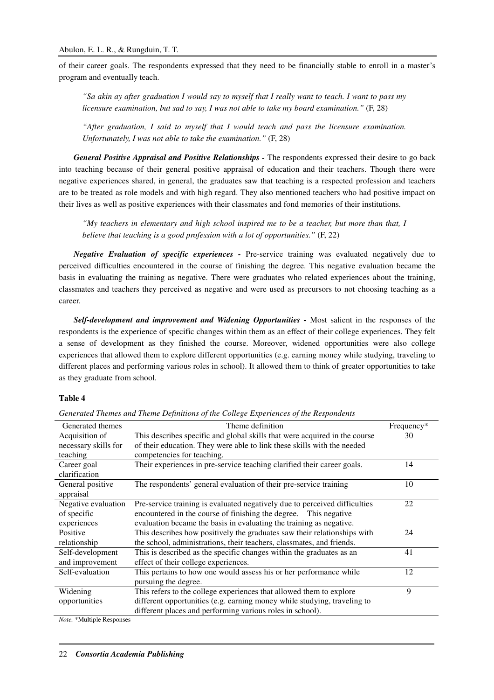of their career goals. The respondents expressed that they need to be financially stable to enroll in a master's program and eventually teach.

*"Sa akin ay after graduation I would say to myself that I really want to teach. I want to pass my licensure examination, but sad to say, I was not able to take my board examination."* (F, 28)

*"After graduation, I said to myself that I would teach and pass the licensure examination. Unfortunately, I was not able to take the examination."* (F, 28)

General Positive Appraisal and Positive Relationships - The respondents expressed their desire to go back into teaching because of their general positive appraisal of education and their teachers. Though there were negative experiences shared, in general, the graduates saw that teaching is a respected profession and teachers are to be treated as role models and with high regard. They also mentioned teachers who had positive impact on their lives as well as positive experiences with their classmates and fond memories of their institutions.

*"My teachers in elementary and high school inspired me to be a teacher, but more than that, I believe that teaching is a good profession with a lot of opportunities."* (F, 22)

*Negative Evaluation of specific experiences -* Pre-service training was evaluated negatively due to perceived difficulties encountered in the course of finishing the degree. This negative evaluation became the basis in evaluating the training as negative. There were graduates who related experiences about the training, classmates and teachers they perceived as negative and were used as precursors to not choosing teaching as a career.

Self-development and improvement and Widening Opportunities - Most salient in the responses of the respondents is the experience of specific changes within them as an effect of their college experiences. They felt a sense of development as they finished the course. Moreover, widened opportunities were also college experiences that allowed them to explore different opportunities (e.g. earning money while studying, traveling to different places and performing various roles in school). It allowed them to think of greater opportunities to take as they graduate from school.

# **Table 4**

| Generated themes        | Theme definition                                                           | Frequency* |
|-------------------------|----------------------------------------------------------------------------|------------|
| Acquisition of          | This describes specific and global skills that were acquired in the course | 30         |
| necessary skills for    | of their education. They were able to link these skills with the needed    |            |
| teaching                | competencies for teaching.                                                 |            |
| Career goal             | Their experiences in pre-service teaching clarified their career goals.    | 14         |
| clarification           |                                                                            |            |
| General positive        | The respondents' general evaluation of their pre-service training          | 10         |
| appraisal               |                                                                            |            |
| Negative evaluation     | Pre-service training is evaluated negatively due to perceived difficulties | 22         |
| of specific             | encountered in the course of finishing the degree. This negative           |            |
| experiences             | evaluation became the basis in evaluating the training as negative.        |            |
| Positive                | This describes how positively the graduates saw their relationships with   | 24         |
| relationship            | the school, administrations, their teachers, classmates, and friends.      |            |
| Self-development        | This is described as the specific changes within the graduates as an       | 41         |
| and improvement         | effect of their college experiences.                                       |            |
| Self-evaluation         | This pertains to how one would assess his or her performance while         | 12         |
|                         | pursuing the degree.                                                       |            |
| Widening                | This refers to the college experiences that allowed them to explore        | 9          |
| opportunities           | different opportunities (e.g. earning money while studying, traveling to   |            |
|                         | different places and performing various roles in school).                  |            |
| 17. <b>JAF</b> 12. 1 Th |                                                                            |            |

*Generated Themes and Theme Definitions of the College Experiences of the Respondents* 

*Note.* \*Multiple Responses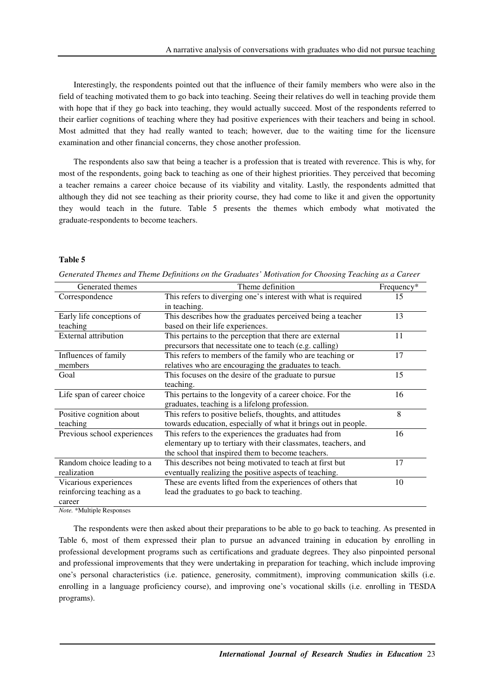Interestingly, the respondents pointed out that the influence of their family members who were also in the field of teaching motivated them to go back into teaching. Seeing their relatives do well in teaching provide them with hope that if they go back into teaching, they would actually succeed. Most of the respondents referred to their earlier cognitions of teaching where they had positive experiences with their teachers and being in school. Most admitted that they had really wanted to teach; however, due to the waiting time for the licensure examination and other financial concerns, they chose another profession.

The respondents also saw that being a teacher is a profession that is treated with reverence. This is why, for most of the respondents, going back to teaching as one of their highest priorities. They perceived that becoming a teacher remains a career choice because of its viability and vitality. Lastly, the respondents admitted that although they did not see teaching as their priority course, they had come to like it and given the opportunity they would teach in the future. Table 5 presents the themes which embody what motivated the graduate-respondents to become teachers.

### **Table 5**

| Generated Themes and Theme Definitions on the Graduates' Motivation for Choosing Teaching as a Career |  |  |
|-------------------------------------------------------------------------------------------------------|--|--|
|                                                                                                       |  |  |

| Generated themes            | Theme definition                                               | Frequency* |
|-----------------------------|----------------------------------------------------------------|------------|
| Correspondence              | This refers to diverging one's interest with what is required  | 15         |
|                             | in teaching.                                                   |            |
| Early life conceptions of   | This describes how the graduates perceived being a teacher     | 13         |
| teaching                    | based on their life experiences.                               |            |
| <b>External attribution</b> | This pertains to the perception that there are external        | 11         |
|                             | precursors that necessitate one to teach (e.g. calling)        |            |
| Influences of family        | This refers to members of the family who are teaching or       | 17         |
| members                     | relatives who are encouraging the graduates to teach.          |            |
| Goal                        | This focuses on the desire of the graduate to pursue           | 15         |
|                             | teaching.                                                      |            |
| Life span of career choice  | This pertains to the longevity of a career choice. For the     | 16         |
|                             | graduates, teaching is a lifelong profession.                  |            |
| Positive cognition about    | This refers to positive beliefs, thoughts, and attitudes       | 8          |
| teaching                    | towards education, especially of what it brings out in people. |            |
| Previous school experiences | This refers to the experiences the graduates had from          | 16         |
|                             | elementary up to tertiary with their classmates, teachers, and |            |
|                             | the school that inspired them to become teachers.              |            |
| Random choice leading to a  | This describes not being motivated to teach at first but       | 17         |
| realization                 | eventually realizing the positive aspects of teaching.         |            |
| Vicarious experiences       | These are events lifted from the experiences of others that    | 10         |
| reinforcing teaching as a   | lead the graduates to go back to teaching.                     |            |
| career                      |                                                                |            |

*Note.* \*Multiple Responses

The respondents were then asked about their preparations to be able to go back to teaching. As presented in Table 6, most of them expressed their plan to pursue an advanced training in education by enrolling in professional development programs such as certifications and graduate degrees. They also pinpointed personal and professional improvements that they were undertaking in preparation for teaching, which include improving one's personal characteristics (i.e. patience, generosity, commitment), improving communication skills (i.e. enrolling in a language proficiency course), and improving one's vocational skills (i.e. enrolling in TESDA programs).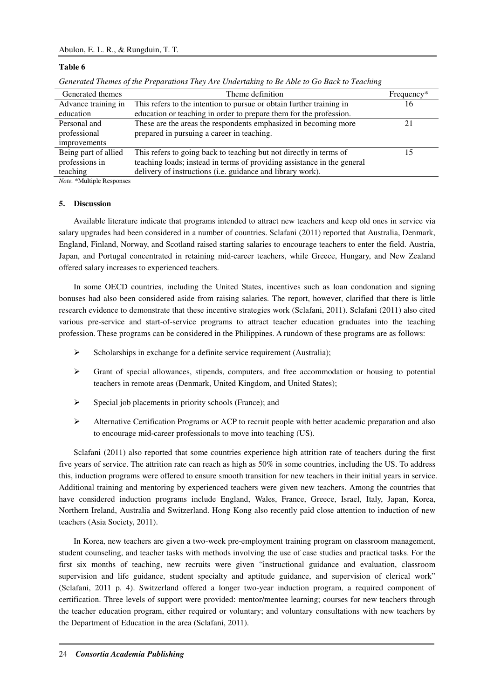## **Table 6**

| Generated themes                                                                                                                                   | Theme definition                                                        | $Frequency*$    |
|----------------------------------------------------------------------------------------------------------------------------------------------------|-------------------------------------------------------------------------|-----------------|
| Advance training in                                                                                                                                | This refers to the intention to pursue or obtain further training in    | 16 <sup>1</sup> |
| education                                                                                                                                          | education or teaching in order to prepare them for the profession.      |                 |
| Personal and                                                                                                                                       | These are the areas the respondents emphasized in becoming more         |                 |
| professional                                                                                                                                       | prepared in pursuing a career in teaching.                              |                 |
| improvements                                                                                                                                       |                                                                         |                 |
| Being part of allied                                                                                                                               | This refers to going back to teaching but not directly in terms of      |                 |
| professions in                                                                                                                                     | teaching loads; instead in terms of providing assistance in the general |                 |
| teaching                                                                                                                                           | delivery of instructions (i.e. guidance and library work).              |                 |
| $M_{11}$ $\rightarrow$ $M_{21}$ $\rightarrow$ $M_{22}$ $\rightarrow$ $M_{21}$ $\rightarrow$ $M_{22}$ $\rightarrow$ $M_{22}$ $\rightarrow$ $M_{22}$ |                                                                         |                 |

*Note.* \*Multiple Responses

#### **5. Discussion**

Available literature indicate that programs intended to attract new teachers and keep old ones in service via salary upgrades had been considered in a number of countries. Sclafani (2011) reported that Australia, Denmark, England, Finland, Norway, and Scotland raised starting salaries to encourage teachers to enter the field. Austria, Japan, and Portugal concentrated in retaining mid-career teachers, while Greece, Hungary, and New Zealand offered salary increases to experienced teachers.

In some OECD countries, including the United States, incentives such as loan condonation and signing bonuses had also been considered aside from raising salaries. The report, however, clarified that there is little research evidence to demonstrate that these incentive strategies work (Sclafani, 2011). Sclafani (2011) also cited various pre-service and start-of-service programs to attract teacher education graduates into the teaching profession. These programs can be considered in the Philippines. A rundown of these programs are as follows:

- $\triangleright$  Scholarships in exchange for a definite service requirement (Australia);
- Grant of special allowances, stipends, computers, and free accommodation or housing to potential teachers in remote areas (Denmark, United Kingdom, and United States);
- $\triangleright$  Special job placements in priority schools (France); and
- Alternative Certification Programs or ACP to recruit people with better academic preparation and also to encourage mid-career professionals to move into teaching (US).

Sclafani (2011) also reported that some countries experience high attrition rate of teachers during the first five years of service. The attrition rate can reach as high as 50% in some countries, including the US. To address this, induction programs were offered to ensure smooth transition for new teachers in their initial years in service. Additional training and mentoring by experienced teachers were given new teachers. Among the countries that have considered induction programs include England, Wales, France, Greece, Israel, Italy, Japan, Korea, Northern Ireland, Australia and Switzerland. Hong Kong also recently paid close attention to induction of new teachers (Asia Society, 2011).

In Korea, new teachers are given a two-week pre-employment training program on classroom management, student counseling, and teacher tasks with methods involving the use of case studies and practical tasks. For the first six months of teaching, new recruits were given "instructional guidance and evaluation, classroom supervision and life guidance, student specialty and aptitude guidance, and supervision of clerical work" (Sclafani, 2011 p. 4). Switzerland offered a longer two-year induction program, a required component of certification. Three levels of support were provided: mentor/mentee learning; courses for new teachers through the teacher education program, either required or voluntary; and voluntary consultations with new teachers by the Department of Education in the area (Sclafani, 2011).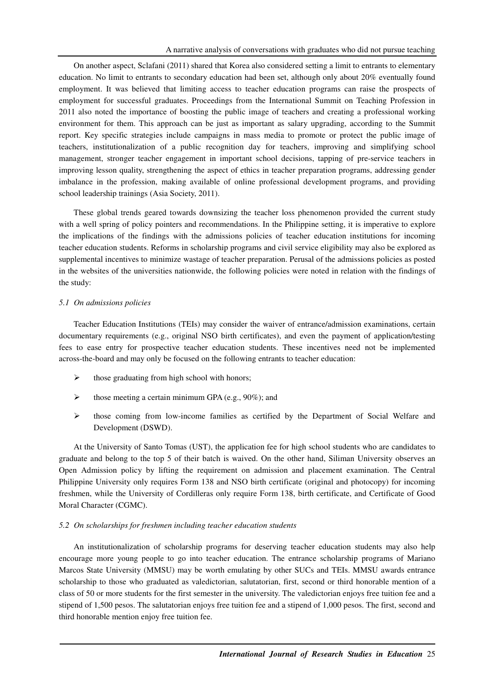On another aspect, Sclafani (2011) shared that Korea also considered setting a limit to entrants to elementary education. No limit to entrants to secondary education had been set, although only about 20% eventually found employment. It was believed that limiting access to teacher education programs can raise the prospects of employment for successful graduates. Proceedings from the International Summit on Teaching Profession in 2011 also noted the importance of boosting the public image of teachers and creating a professional working environment for them. This approach can be just as important as salary upgrading, according to the Summit report. Key specific strategies include campaigns in mass media to promote or protect the public image of teachers, institutionalization of a public recognition day for teachers, improving and simplifying school management, stronger teacher engagement in important school decisions, tapping of pre-service teachers in improving lesson quality, strengthening the aspect of ethics in teacher preparation programs, addressing gender imbalance in the profession, making available of online professional development programs, and providing school leadership trainings (Asia Society, 2011).

These global trends geared towards downsizing the teacher loss phenomenon provided the current study with a well spring of policy pointers and recommendations. In the Philippine setting, it is imperative to explore the implications of the findings with the admissions policies of teacher education institutions for incoming teacher education students. Reforms in scholarship programs and civil service eligibility may also be explored as supplemental incentives to minimize wastage of teacher preparation. Perusal of the admissions policies as posted in the websites of the universities nationwide, the following policies were noted in relation with the findings of the study:

#### *5.1 On admissions policies*

Teacher Education Institutions (TEIs) may consider the waiver of entrance/admission examinations, certain documentary requirements (e.g., original NSO birth certificates), and even the payment of application/testing fees to ease entry for prospective teacher education students. These incentives need not be implemented across-the-board and may only be focused on the following entrants to teacher education:

- $\triangleright$  those graduating from high school with honors;
- $\triangleright$  those meeting a certain minimum GPA (e.g., 90%); and
- $\triangleright$  those coming from low-income families as certified by the Department of Social Welfare and Development (DSWD).

At the University of Santo Tomas (UST), the application fee for high school students who are candidates to graduate and belong to the top 5 of their batch is waived. On the other hand, Siliman University observes an Open Admission policy by lifting the requirement on admission and placement examination. The Central Philippine University only requires Form 138 and NSO birth certificate (original and photocopy) for incoming freshmen, while the University of Cordilleras only require Form 138, birth certificate, and Certificate of Good Moral Character (CGMC).

#### *5.2 On scholarships for freshmen including teacher education students*

An institutionalization of scholarship programs for deserving teacher education students may also help encourage more young people to go into teacher education. The entrance scholarship programs of Mariano Marcos State University (MMSU) may be worth emulating by other SUCs and TEIs. MMSU awards entrance scholarship to those who graduated as valedictorian, salutatorian, first, second or third honorable mention of a class of 50 or more students for the first semester in the university. The valedictorian enjoys free tuition fee and a stipend of 1,500 pesos. The salutatorian enjoys free tuition fee and a stipend of 1,000 pesos. The first, second and third honorable mention enjoy free tuition fee.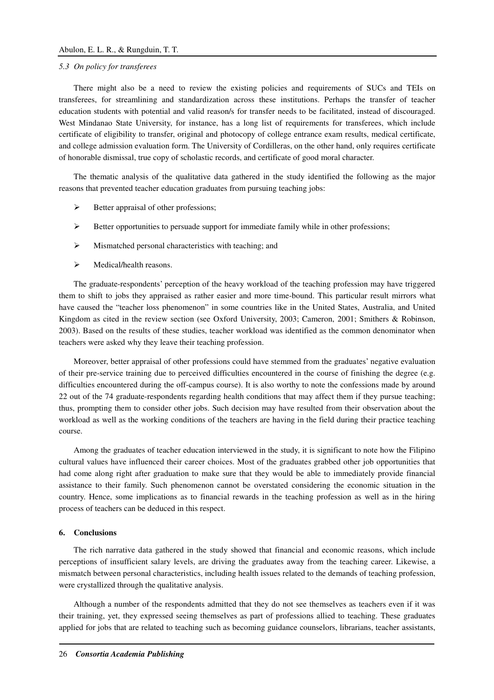#### *5.3 On policy for transferees*

There might also be a need to review the existing policies and requirements of SUCs and TEIs on transferees, for streamlining and standardization across these institutions. Perhaps the transfer of teacher education students with potential and valid reason/s for transfer needs to be facilitated, instead of discouraged. West Mindanao State University, for instance, has a long list of requirements for transferees, which include certificate of eligibility to transfer, original and photocopy of college entrance exam results, medical certificate, and college admission evaluation form. The University of Cordilleras, on the other hand, only requires certificate of honorable dismissal, true copy of scholastic records, and certificate of good moral character.

The thematic analysis of the qualitative data gathered in the study identified the following as the major reasons that prevented teacher education graduates from pursuing teaching jobs:

- $\triangleright$  Better appraisal of other professions;
- $\triangleright$  Better opportunities to persuade support for immediate family while in other professions;
- $\triangleright$  Mismatched personal characteristics with teaching; and
- > Medical/health reasons.

The graduate-respondents' perception of the heavy workload of the teaching profession may have triggered them to shift to jobs they appraised as rather easier and more time-bound. This particular result mirrors what have caused the "teacher loss phenomenon" in some countries like in the United States, Australia, and United Kingdom as cited in the review section (see Oxford University, 2003; Cameron, 2001; Smithers & Robinson, 2003). Based on the results of these studies, teacher workload was identified as the common denominator when teachers were asked why they leave their teaching profession.

Moreover, better appraisal of other professions could have stemmed from the graduates' negative evaluation of their pre-service training due to perceived difficulties encountered in the course of finishing the degree (e.g. difficulties encountered during the off-campus course). It is also worthy to note the confessions made by around 22 out of the 74 graduate-respondents regarding health conditions that may affect them if they pursue teaching; thus, prompting them to consider other jobs. Such decision may have resulted from their observation about the workload as well as the working conditions of the teachers are having in the field during their practice teaching course.

Among the graduates of teacher education interviewed in the study, it is significant to note how the Filipino cultural values have influenced their career choices. Most of the graduates grabbed other job opportunities that had come along right after graduation to make sure that they would be able to immediately provide financial assistance to their family. Such phenomenon cannot be overstated considering the economic situation in the country. Hence, some implications as to financial rewards in the teaching profession as well as in the hiring process of teachers can be deduced in this respect.

## **6. Conclusions**

The rich narrative data gathered in the study showed that financial and economic reasons, which include perceptions of insufficient salary levels, are driving the graduates away from the teaching career. Likewise, a mismatch between personal characteristics, including health issues related to the demands of teaching profession, were crystallized through the qualitative analysis.

Although a number of the respondents admitted that they do not see themselves as teachers even if it was their training, yet, they expressed seeing themselves as part of professions allied to teaching. These graduates applied for jobs that are related to teaching such as becoming guidance counselors, librarians, teacher assistants,